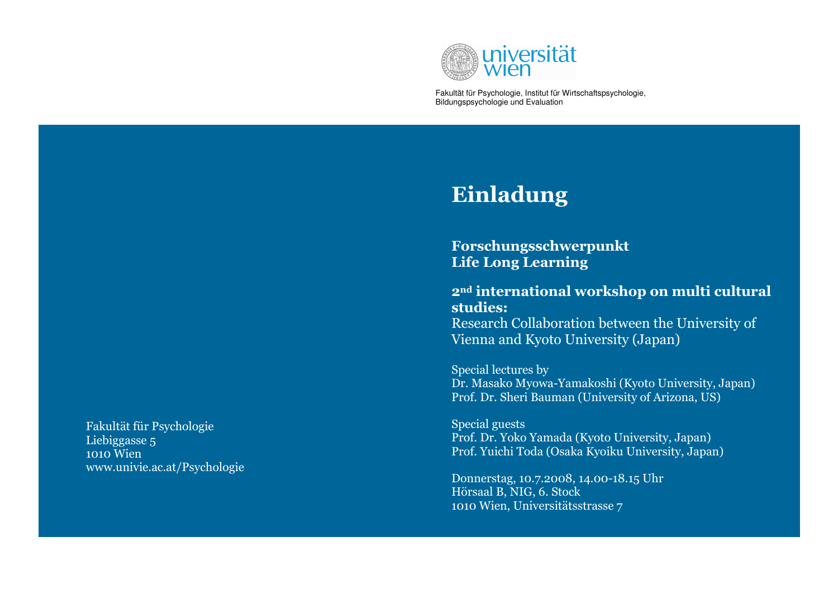

Fakultät für Psychologie, Institut für Wirtschaftspsychologie, Bildungspsychologie und Evaluation

## Einladung

Forschungsschwerpunkt Life Long Learning

2nd international workshop on multi cultural studies: Research Collaboration between the University of Vienna and Kyoto University (Japan)

Special lectures by Dr. Masako Myowa-Yamakoshi (Kyoto University, Japan) Prof. Dr. Sheri Bauman (University of Arizona, US)

Special guests Prof. Dr. Yoko Yamada (Kyoto University, Japan) Prof. Yuichi Toda (Osaka Kyoiku University, Japan)

Donnerstag, 10.7.2008, 14.00-18.15 Uhr Hörsaal B, NIG, 6. Stock 1010 Wien, Universitätsstrasse 7

Fakultät für PsychologieLiebiggasse 5 1010 Wien www.univie.ac.at/Psychologie